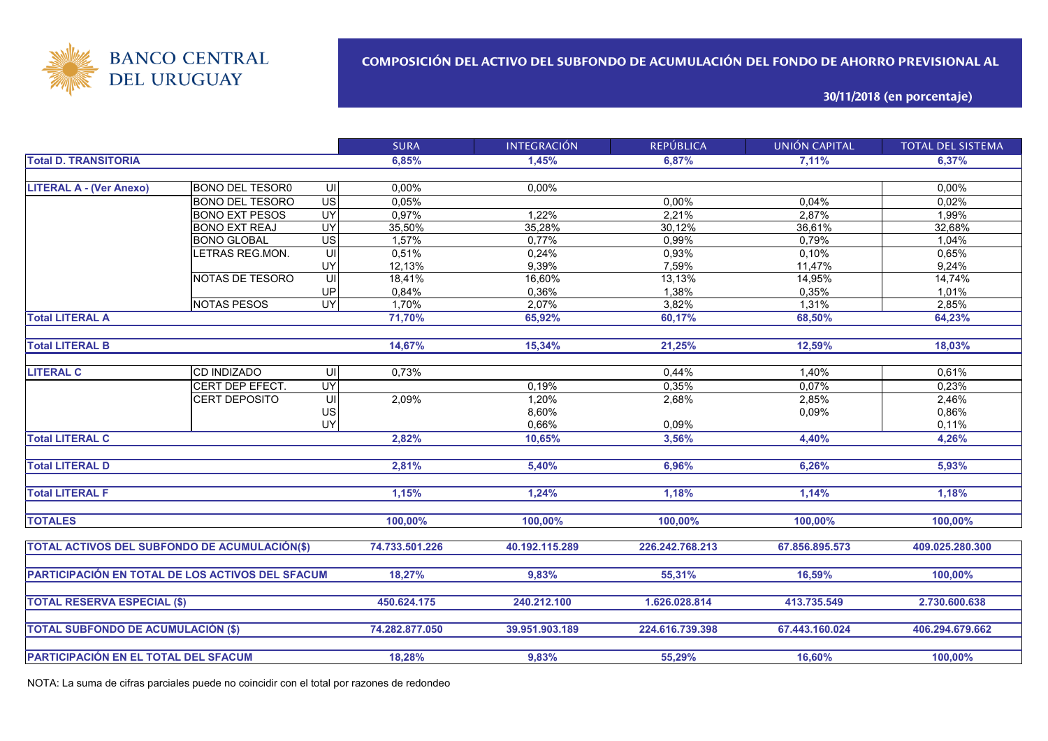

**30/11/2018 (en porcentaje)**

|                                                  |                        |                         | <b>SURA</b>    | <b>INTEGRACIÓN</b> | <b>REPÚBLICA</b> | <b>UNIÓN CAPITAL</b> | <b>TOTAL DEL SISTEMA</b> |
|--------------------------------------------------|------------------------|-------------------------|----------------|--------------------|------------------|----------------------|--------------------------|
| <b>Total D. TRANSITORIA</b>                      |                        |                         | 6,85%          | 1.45%              | 6,87%            | 7,11%                | 6.37%                    |
|                                                  |                        |                         |                |                    |                  |                      |                          |
| <b>LITERAL A - (Ver Anexo)</b>                   | <b>BONO DEL TESOR0</b> | -UII                    | 0,00%          | 0.00%              |                  |                      | 0,00%                    |
|                                                  | <b>BONO DEL TESORO</b> | $\overline{US}$         | 0,05%          |                    | 0,00%            | 0,04%                | 0,02%                    |
|                                                  | <b>BONO EXT PESOS</b>  | UY                      | 0,97%          | 1,22%              | 2,21%            | 2,87%                | 1,99%                    |
|                                                  | <b>BONO EXT REAJ</b>   | UY                      | 35,50%         | 35,28%             | 30,12%           | 36,61%               | 32,68%                   |
|                                                  | <b>BONO GLOBAL</b>     | $\overline{US}$         | 1,57%          | 0,77%              | 0,99%            | 0,79%                | 1,04%                    |
|                                                  | ETRAS REG.MON.         | UI                      | 0,51%          | 0,24%              | 0,93%            | 0,10%                | 0,65%                    |
|                                                  |                        | UY                      | 12,13%         | 9,39%              | 7,59%            | 11,47%               | 9,24%                    |
|                                                  | NOTAS DE TESORO        | UI                      | 18,41%         | 16,60%             | 13,13%           | 14,95%               | 14,74%                   |
|                                                  |                        | UP                      | 0,84%          | 0.36%              | 1,38%            | 0,35%                | 1,01%                    |
|                                                  | <b>NOTAS PESOS</b>     | $\overline{\mathsf{C}}$ | 1,70%          | 2,07%              | 3,82%            | $1,31\%$             | 2,85%                    |
| <b>Total LITERAL A</b>                           |                        |                         | 71,70%         | 65,92%             | 60,17%           | 68,50%               | 64,23%                   |
|                                                  |                        |                         |                |                    |                  |                      |                          |
| <b>Total LITERAL B</b>                           |                        |                         | 14,67%         | 15,34%             | 21,25%           | 12,59%               | 18,03%                   |
|                                                  |                        |                         |                |                    |                  |                      |                          |
| <b>LITERAL C</b>                                 | <b>CD INDIZADO</b>     | UI                      | 0,73%          |                    | 0,44%            | 1,40%                | 0,61%                    |
|                                                  | CERT DEP EFECT.        | <b>UY</b>               |                | 0,19%              | 0,35%            | 0,07%                | 0,23%                    |
|                                                  | CERT DEPOSITO          | UI                      | 2,09%          | 1,20%              | 2,68%            | 2,85%                | 2,46%                    |
|                                                  |                        | US                      |                | 8,60%              |                  | 0,09%                | 0,86%                    |
|                                                  |                        | UY                      |                | 0,66%              | 0,09%            |                      | 0,11%                    |
| <b>Total LITERAL C</b>                           |                        |                         | 2,82%          | 10,65%             | 3,56%            | 4,40%                | 4,26%                    |
|                                                  |                        |                         |                |                    |                  |                      |                          |
| <b>Total LITERAL D</b>                           |                        |                         | 2,81%          | 5,40%              | 6,96%            | 6,26%                | 5,93%                    |
|                                                  |                        |                         |                |                    |                  |                      |                          |
| <b>Total LITERAL F</b>                           |                        |                         | 1,15%          | 1,24%              | 1,18%            | 1,14%                | 1,18%                    |
|                                                  |                        |                         |                |                    |                  |                      |                          |
| <b>TOTALES</b>                                   |                        |                         | 100,00%        | 100,00%            | 100,00%          | 100,00%              | 100,00%                  |
|                                                  |                        |                         |                |                    |                  |                      |                          |
| TOTAL ACTIVOS DEL SUBFONDO DE ACUMULACIÓN(\$)    |                        |                         | 74.733.501.226 | 40.192.115.289     | 226.242.768.213  | 67.856.895.573       | 409.025.280.300          |
|                                                  |                        |                         |                |                    |                  |                      |                          |
| PARTICIPACIÓN EN TOTAL DE LOS ACTIVOS DEL SFACUM |                        |                         | 18,27%         | 9,83%              | 55,31%           | 16,59%               | 100,00%                  |
|                                                  |                        |                         | 450.624.175    | 240.212.100        |                  |                      |                          |
| <b>TOTAL RESERVA ESPECIAL (\$)</b>               |                        |                         |                |                    | 1.626.028.814    | 413.735.549          | 2.730.600.638            |
| <b>TOTAL SUBFONDO DE ACUMULACIÓN (\$)</b>        |                        |                         | 74.282.877.050 | 39.951.903.189     | 224.616.739.398  | 67.443.160.024       | 406.294.679.662          |
|                                                  |                        |                         |                |                    |                  |                      |                          |
| PARTICIPACIÓN EN EL TOTAL DEL SFACUM             |                        |                         | 18,28%         | 9,83%              | 55,29%           | 16,60%               | 100,00%                  |
|                                                  |                        |                         |                |                    |                  |                      |                          |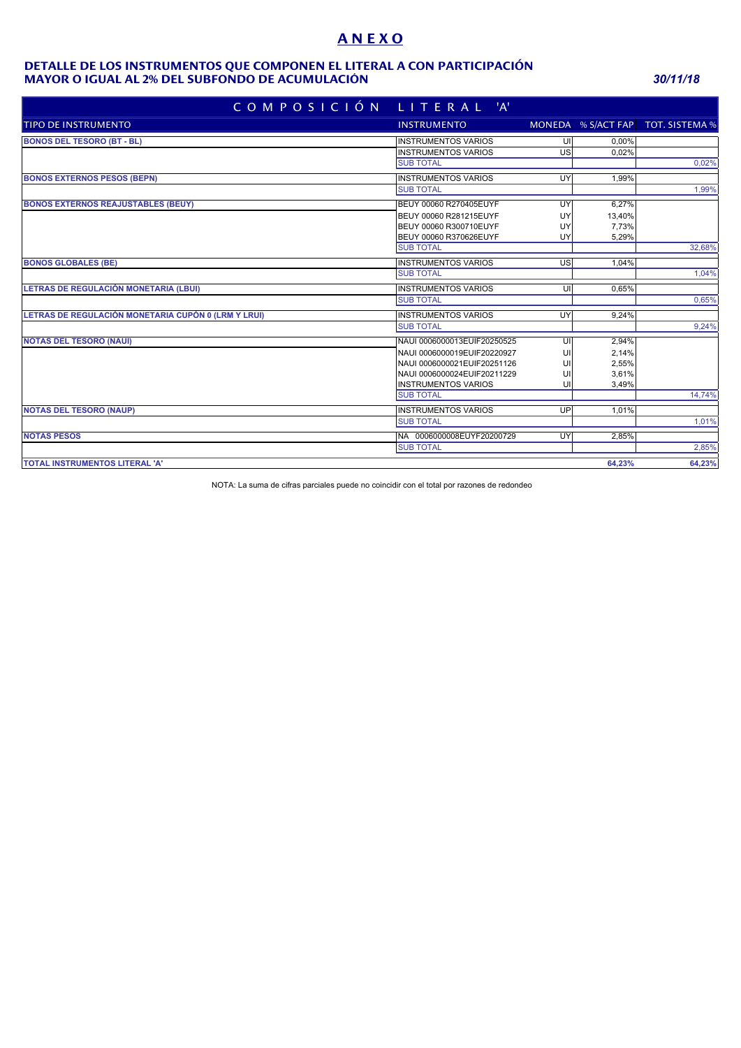# **A N E X O**

#### **MAYOR O IGUAL AL 2% DEL SUBFONDO DE ACUMULACIÓN** *30/11/18* **DETALLE DE LOS INSTRUMENTOS QUE COMPONEN EL LITERAL A CON PARTICIPACIÓN**

| COMPOSICIÓN LITERAL 'A'                             |                             |    |        |                                   |
|-----------------------------------------------------|-----------------------------|----|--------|-----------------------------------|
| <b>TIPO DE INSTRUMENTO</b>                          | <b>INSTRUMENTO</b>          |    |        | MONEDA % S/ACT FAP TOT. SISTEMA % |
| <b>BONOS DEL TESORO (BT - BL)</b>                   | <b>INSTRUMENTOS VARIOS</b>  | UI | 0.00%  |                                   |
|                                                     | <b>INSTRUMENTOS VARIOS</b>  | US | 0.02%  |                                   |
|                                                     | <b>SUB TOTAL</b>            |    |        | 0,02%                             |
| <b>BONOS EXTERNOS PESOS (BEPN)</b>                  | <b>INSTRUMENTOS VARIOS</b>  | UY | 1,99%  |                                   |
|                                                     | <b>SUB TOTAL</b>            |    |        | 1,99%                             |
| <b>BONOS EXTERNOS REAJUSTABLES (BEUY)</b>           | BEUY 00060 R270405EUYF      | UY | 6,27%  |                                   |
|                                                     | BEUY 00060 R281215EUYF      | UY | 13,40% |                                   |
|                                                     | BEUY 00060 R300710EUYF      | UY | 7.73%  |                                   |
|                                                     | BEUY 00060 R370626EUYF      | UY | 5,29%  |                                   |
|                                                     | <b>SUB TOTAL</b>            |    |        | 32.68%                            |
| <b>BONOS GLOBALES (BE)</b>                          | <b>INSTRUMENTOS VARIOS</b>  | US | 1,04%  |                                   |
|                                                     | <b>SUB TOTAL</b>            |    |        | 1,04%                             |
| LETRAS DE REGULACIÓN MONETARIA (LBUI)               | <b>INSTRUMENTOS VARIOS</b>  | UI | 0,65%  |                                   |
|                                                     | <b>SUB TOTAL</b>            |    |        | 0,65%                             |
| LETRAS DE REGULACIÓN MONETARIA CUPÓN 0 (LRM Y LRUI) | <b>INSTRUMENTOS VARIOS</b>  | UY | 9.24%  |                                   |
|                                                     | <b>SUB TOTAL</b>            |    |        | 9,24%                             |
| <b>NOTAS DEL TESORO (NAUI)</b>                      | NAUI 0006000013EUIF20250525 | UI | 2,94%  |                                   |
|                                                     | NAUI 0006000019EUIF20220927 | UI | 2,14%  |                                   |
|                                                     | NAUI 0006000021EUIF20251126 | U  | 2,55%  |                                   |
|                                                     | NAUI 0006000024EUIF20211229 | U  | 3,61%  |                                   |
|                                                     | <b>INSTRUMENTOS VARIOS</b>  | UI | 3,49%  |                                   |
|                                                     | <b>SUB TOTAL</b>            |    |        | 14,74%                            |
| <b>NOTAS DEL TESORO (NAUP)</b>                      | <b>INSTRUMENTOS VARIOS</b>  | UP | 1.01%  |                                   |
|                                                     | <b>SUB TOTAL</b>            |    |        | 1,01%                             |
| <b>NOTAS PESOS</b>                                  | NA 0006000008EUYF20200729   | UY | 2,85%  |                                   |
|                                                     | <b>SUB TOTAL</b>            |    |        | 2,85%                             |
| TOTAL INSTRUMENTOS LITERAL 'A'                      |                             |    | 64,23% | 64,23%                            |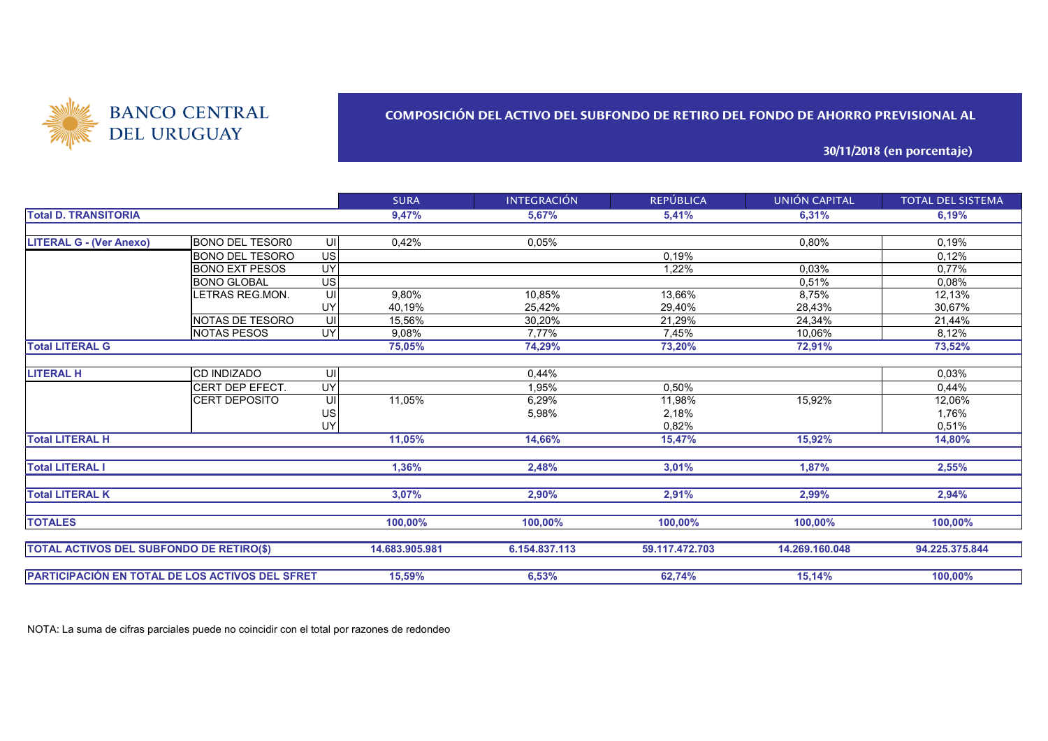

#### **COMPOSICIÓN DEL ACTIVO DEL SUBFONDO DE RETIRO DEL FONDO DE AHORRO PREVISIONAL AL**

**30/11/2018 (en porcentaje)**

|                                                 |                        |                          | <b>SURA</b>    | <b>INTEGRACIÓN</b> | <b>REPÚBLICA</b> | <b>UNIÓN CAPITAL</b> | <b>TOTAL DEL SISTEMA</b> |
|-------------------------------------------------|------------------------|--------------------------|----------------|--------------------|------------------|----------------------|--------------------------|
| <b>Total D. TRANSITORIA</b>                     |                        |                          | 9,47%          | 5,67%              | 5,41%            | 6,31%                | 6,19%                    |
|                                                 |                        |                          |                |                    |                  |                      |                          |
| <b>LITERAL G - (Ver Anexo)</b>                  | <b>BONO DEL TESOR0</b> | UI                       | 0,42%          | 0,05%              |                  | 0,80%                | 0,19%                    |
|                                                 | <b>BONO DEL TESORO</b> | $\overline{\mathsf{us}}$ |                |                    | 0.19%            |                      | 0,12%                    |
|                                                 | <b>BONO EXT PESOS</b>  | UY                       |                |                    | 1,22%            | 0,03%                | 0,77%                    |
|                                                 | <b>BONO GLOBAL</b>     | US                       |                |                    |                  | 0,51%                | 0,08%                    |
|                                                 | LETRAS REG.MON.        | UI                       | 9,80%          | 10,85%             | 13,66%           | 8,75%                | 12,13%                   |
|                                                 |                        | UY                       | 40,19%         | 25,42%             | 29,40%           | 28,43%               | 30,67%                   |
|                                                 | NOTAS DE TESORO        | UI                       | 15,56%         | 30,20%             | 21,29%           | 24,34%               | 21,44%                   |
|                                                 | <b>NOTAS PESOS</b>     | UY                       | 9.08%          | 7,77%              | 7,45%            | 10,06%               | 8,12%                    |
| <b>Total LITERAL G</b>                          |                        | 75,05%                   | 74,29%         | 73,20%             | 72,91%           | 73,52%               |                          |
|                                                 |                        |                          |                |                    |                  |                      |                          |
| <b>LITERAL H</b>                                | <b>CD INDIZADO</b>     | UI                       |                | 0,44%              |                  |                      | 0,03%                    |
|                                                 | CERT DEP EFECT.        | UY                       |                | 1,95%              | 0,50%            |                      | 0,44%                    |
|                                                 | <b>CERT DEPOSITO</b>   | UI                       | 11,05%         | 6,29%              | 11,98%           | 15,92%               | 12,06%                   |
|                                                 |                        | US                       |                | 5,98%              | 2,18%            |                      | 1,76%                    |
|                                                 |                        | UYl                      |                |                    | 0,82%            |                      | 0,51%                    |
| <b>Total LITERAL H</b>                          |                        |                          | 11,05%         | 14,66%             | 15,47%           | 15,92%               | 14,80%                   |
| <b>Total LITERAL I</b>                          |                        |                          | 1,36%          | 2,48%              | 3,01%            | 1,87%                | 2,55%                    |
| <b>Total LITERAL K</b>                          |                        |                          | 3,07%          | 2,90%              | 2,91%            | 2,99%                | 2,94%                    |
| <b>TOTALES</b>                                  |                        |                          | 100.00%        | 100,00%            | 100,00%          | 100,00%              | 100.00%                  |
| <b>TOTAL ACTIVOS DEL SUBFONDO DE RETIRO(\$)</b> |                        |                          | 14.683.905.981 | 6.154.837.113      | 59.117.472.703   | 14.269.160.048       | 94.225.375.844           |
| PARTICIPACIÓN EN TOTAL DE LOS ACTIVOS DEL SFRET |                        |                          | 15,59%         | 6,53%              | 62,74%           | 15,14%               | 100,00%                  |